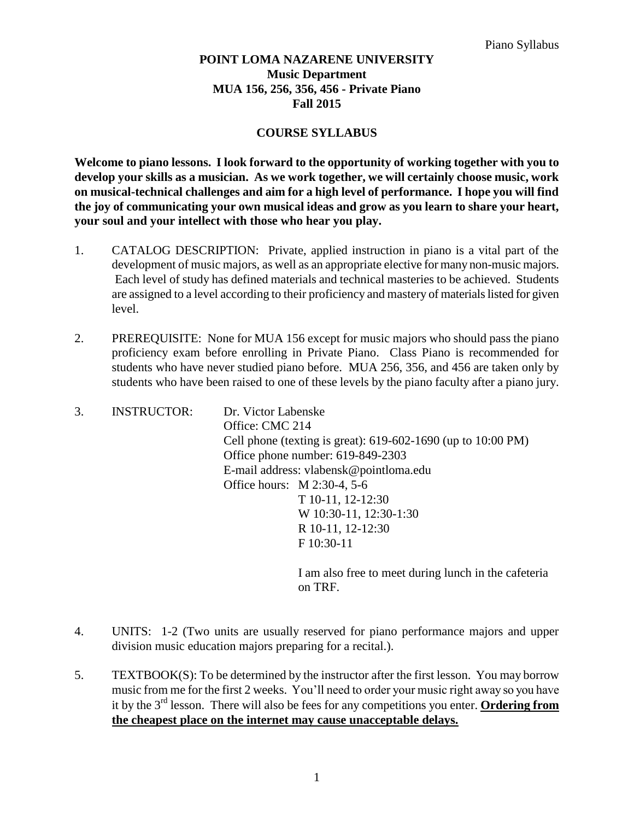## **POINT LOMA NAZARENE UNIVERSITY Music Department MUA 156, 256, 356, 456 - Private Piano Fall 2015**

## **COURSE SYLLABUS**

**Welcome to piano lessons. I look forward to the opportunity of working together with you to develop your skills as a musician. As we work together, we will certainly choose music, work on musical-technical challenges and aim for a high level of performance. I hope you will find the joy of communicating your own musical ideas and grow as you learn to share your heart, your soul and your intellect with those who hear you play.** 

- 1. CATALOG DESCRIPTION: Private, applied instruction in piano is a vital part of the development of music majors, as well as an appropriate elective for many non-music majors. Each level of study has defined materials and technical masteries to be achieved. Students are assigned to a level according to their proficiency and mastery of materials listed for given level.
- 2. PREREQUISITE: None for MUA 156 except for music majors who should pass the piano proficiency exam before enrolling in Private Piano. Class Piano is recommended for students who have never studied piano before. MUA 256, 356, and 456 are taken only by students who have been raised to one of these levels by the piano faculty after a piano jury.

| 3. | <b>INSTRUCTOR:</b> | Dr. Victor Labenske                                                                                                                                                                                                                                                                                              |
|----|--------------------|------------------------------------------------------------------------------------------------------------------------------------------------------------------------------------------------------------------------------------------------------------------------------------------------------------------|
|    |                    | Office: CMC 214                                                                                                                                                                                                                                                                                                  |
|    |                    | Cell phone (texting is great): 619-602-1690 (up to 10:00 PM)                                                                                                                                                                                                                                                     |
|    |                    | Office phone number: 619-849-2303                                                                                                                                                                                                                                                                                |
|    |                    | E-mail address: vlabensk@pointloma.edu                                                                                                                                                                                                                                                                           |
|    |                    | Office hours: M 2:30-4, 5-6                                                                                                                                                                                                                                                                                      |
|    |                    | T 10-11, 12-12:30                                                                                                                                                                                                                                                                                                |
|    |                    | W 10:30-11, 12:30-1:30                                                                                                                                                                                                                                                                                           |
|    |                    | R 10-11, 12-12:30                                                                                                                                                                                                                                                                                                |
|    |                    | F 10:30-11                                                                                                                                                                                                                                                                                                       |
|    |                    |                                                                                                                                                                                                                                                                                                                  |
|    |                    | $\mathbf{r}$ and $\mathbf{r}$ and $\mathbf{r}$ and $\mathbf{r}$ and $\mathbf{r}$ and $\mathbf{r}$ and $\mathbf{r}$ and $\mathbf{r}$ and $\mathbf{r}$ and $\mathbf{r}$ and $\mathbf{r}$ and $\mathbf{r}$ and $\mathbf{r}$ and $\mathbf{r}$ and $\mathbf{r}$ and $\mathbf{r}$ and $\mathbf{r}$ and<br>$\mathbf{r}$ |

I am also free to meet during lunch in the cafeteria on TRF.

- 4. UNITS: 1-2 (Two units are usually reserved for piano performance majors and upper division music education majors preparing for a recital.).
- 5. TEXTBOOK(S): To be determined by the instructor after the first lesson. You may borrow music from me for the first 2 weeks. You'll need to order your music right away so you have it by the 3rd lesson. There will also be fees for any competitions you enter. **Ordering from the cheapest place on the internet may cause unacceptable delays.**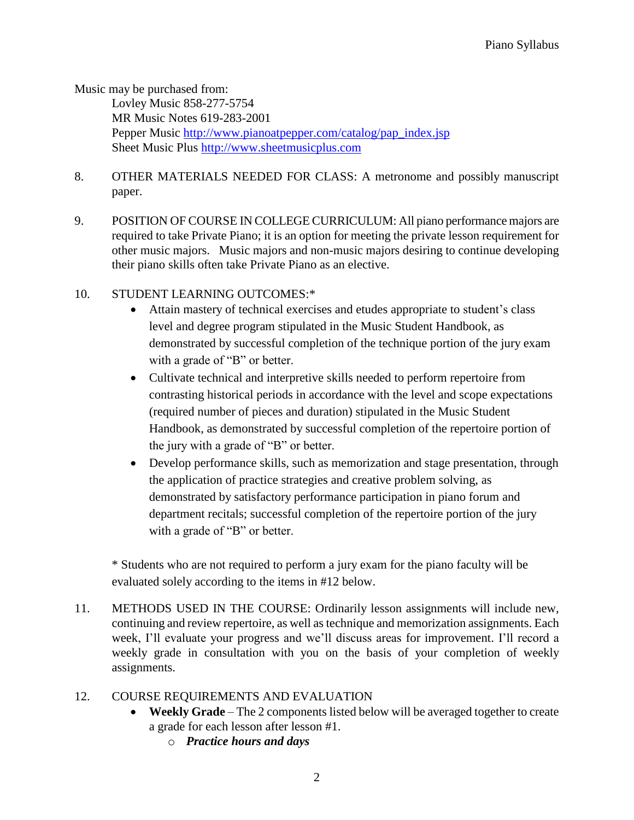Music may be purchased from:

Lovley Music 858-277-5754 MR Music Notes 619-283-2001 Pepper Music [http://www.pianoatpepper.com/catalog/pap\\_index.jsp](http://www.pianoatpepper.com/catalog/pap_index.jsp) Sheet Music Plus [http://www.sheetmusicplus.com](http://www.sheetmusicplus.com/)

- 8. OTHER MATERIALS NEEDED FOR CLASS: A metronome and possibly manuscript paper.
- 9. POSITION OF COURSE IN COLLEGE CURRICULUM: All piano performance majors are required to take Private Piano; it is an option for meeting the private lesson requirement for other music majors. Music majors and non-music majors desiring to continue developing their piano skills often take Private Piano as an elective.
- 10. STUDENT LEARNING OUTCOMES:\*
	- Attain mastery of technical exercises and etudes appropriate to student's class level and degree program stipulated in the Music Student Handbook, as demonstrated by successful completion of the technique portion of the jury exam with a grade of "B" or better.
	- Cultivate technical and interpretive skills needed to perform repertoire from contrasting historical periods in accordance with the level and scope expectations (required number of pieces and duration) stipulated in the Music Student Handbook, as demonstrated by successful completion of the repertoire portion of the jury with a grade of "B" or better.
	- Develop performance skills, such as memorization and stage presentation, through the application of practice strategies and creative problem solving, as demonstrated by satisfactory performance participation in piano forum and department recitals; successful completion of the repertoire portion of the jury with a grade of "B" or better.

\* Students who are not required to perform a jury exam for the piano faculty will be evaluated solely according to the items in #12 below.

11. METHODS USED IN THE COURSE: Ordinarily lesson assignments will include new, continuing and review repertoire, as well as technique and memorization assignments. Each week, I'll evaluate your progress and we'll discuss areas for improvement. I'll record a weekly grade in consultation with you on the basis of your completion of weekly assignments.

## 12. COURSE REQUIREMENTS AND EVALUATION

- **Weekly Grade** The 2 components listed below will be averaged together to create a grade for each lesson after lesson #1.
	- o *Practice hours and days*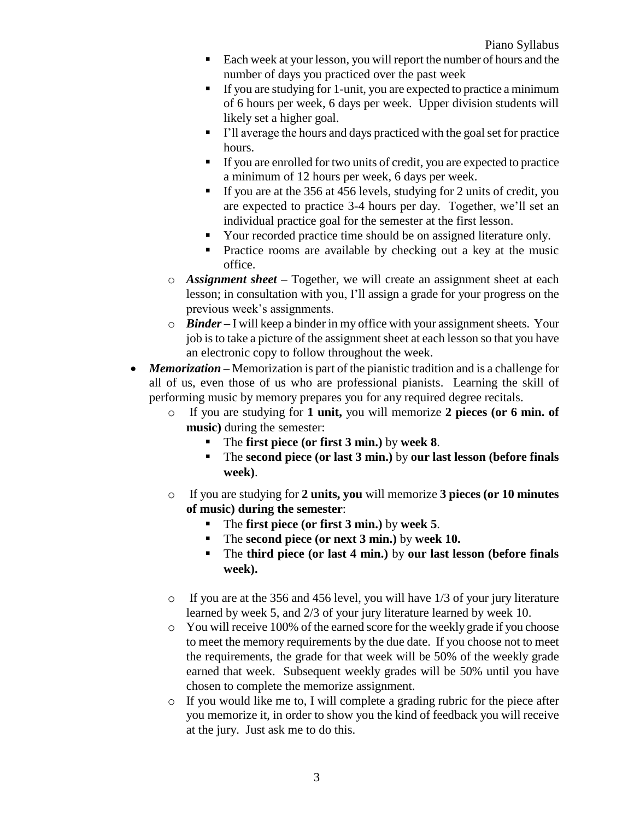- Each week at your lesson, you will report the number of hours and the number of days you practiced over the past week
- If you are studying for 1-unit, you are expected to practice a minimum of 6 hours per week, 6 days per week. Upper division students will likely set a higher goal.
- I'll average the hours and days practiced with the goal set for practice hours.
- If you are enrolled for two units of credit, you are expected to practice a minimum of 12 hours per week, 6 days per week.
- If you are at the 356 at 456 levels, studying for 2 units of credit, you are expected to practice 3-4 hours per day. Together, we'll set an individual practice goal for the semester at the first lesson.
- Your recorded practice time should be on assigned literature only.
- Practice rooms are available by checking out a key at the music office.
- o *Assignment sheet –* Together, we will create an assignment sheet at each lesson; in consultation with you, I'll assign a grade for your progress on the previous week's assignments.
- o *Binder –* I will keep a binder in my office with your assignment sheets. Your job is to take a picture of the assignment sheet at each lesson so that you have an electronic copy to follow throughout the week.
- *Memorization* Memorization is part of the pianistic tradition and is a challenge for all of us, even those of us who are professional pianists. Learning the skill of performing music by memory prepares you for any required degree recitals.
	- o If you are studying for **1 unit,** you will memorize **2 pieces (or 6 min. of music)** during the semester:
		- The **first piece (or first 3 min.)** by **week 8**.
		- The **second piece (or last 3 min.)** by **our last lesson (before finals week)**.
	- o If you are studying for **2 units, you** will memorize **3 pieces (or 10 minutes of music) during the semester**:
		- The **first piece (or first 3 min.)** by **week 5**.
		- The **second piece (or next 3 min.)** by **week 10.**
		- The **third piece (or last 4 min.)** by **our last lesson (before finals week).**
	- o If you are at the 356 and 456 level, you will have 1/3 of your jury literature learned by week 5, and 2/3 of your jury literature learned by week 10.
	- o You will receive 100% of the earned score for the weekly grade if you choose to meet the memory requirements by the due date. If you choose not to meet the requirements, the grade for that week will be 50% of the weekly grade earned that week. Subsequent weekly grades will be 50% until you have chosen to complete the memorize assignment.
	- o If you would like me to, I will complete a grading rubric for the piece after you memorize it, in order to show you the kind of feedback you will receive at the jury. Just ask me to do this.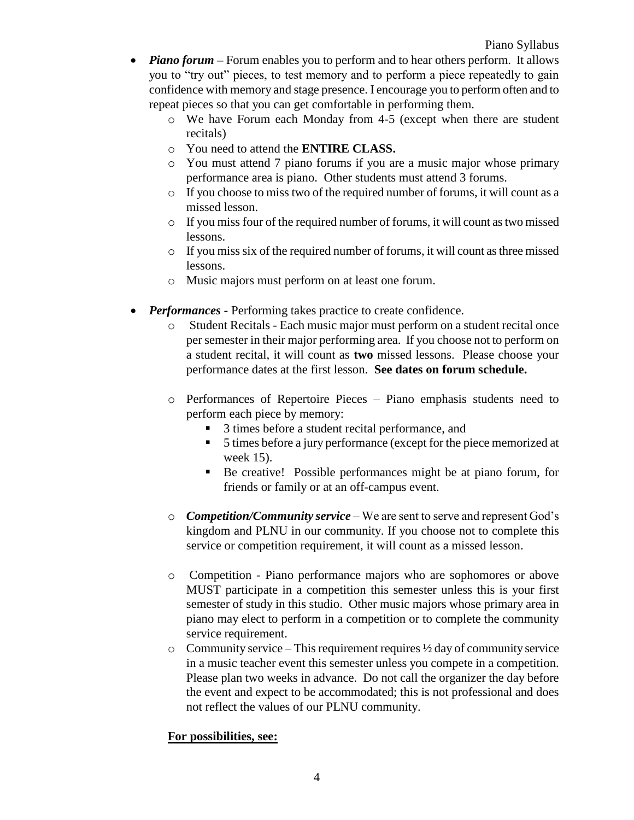- *Piano forum* Forum enables you to perform and to hear others perform. It allows you to "try out" pieces, to test memory and to perform a piece repeatedly to gain confidence with memory and stage presence. I encourage you to perform often and to repeat pieces so that you can get comfortable in performing them.
	- o We have Forum each Monday from 4-5 (except when there are student recitals)
	- o You need to attend the **ENTIRE CLASS.**
	- o You must attend 7 piano forums if you are a music major whose primary performance area is piano. Other students must attend 3 forums.
	- o If you choose to miss two of the required number of forums, it will count as a missed lesson.
	- o If you miss four of the required number of forums, it will count as two missed lessons.
	- o If you miss six of the required number of forums, it will count as three missed lessons.
	- o Music majors must perform on at least one forum.
- *Performances -* Performing takes practice to create confidence.
	- o Student Recitals Each music major must perform on a student recital once per semester in their major performing area. If you choose not to perform on a student recital, it will count as **two** missed lessons. Please choose your performance dates at the first lesson. **See dates on forum schedule.**
	- o Performances of Repertoire Pieces Piano emphasis students need to perform each piece by memory:
		- 3 times before a student recital performance, and
		- 5 times before a jury performance (except for the piece memorized at week 15).
		- Be creative! Possible performances might be at piano forum, for friends or family or at an off-campus event.
	- o *Competition/Community service* We are sent to serve and represent God's kingdom and PLNU in our community. If you choose not to complete this service or competition requirement, it will count as a missed lesson.
	- o Competition Piano performance majors who are sophomores or above MUST participate in a competition this semester unless this is your first semester of study in this studio. Other music majors whose primary area in piano may elect to perform in a competition or to complete the community service requirement.
	- $\circ$  Community service This requirement requires  $\frac{1}{2}$  day of community service in a music teacher event this semester unless you compete in a competition. Please plan two weeks in advance. Do not call the organizer the day before the event and expect to be accommodated; this is not professional and does not reflect the values of our PLNU community.

## **For possibilities, see:**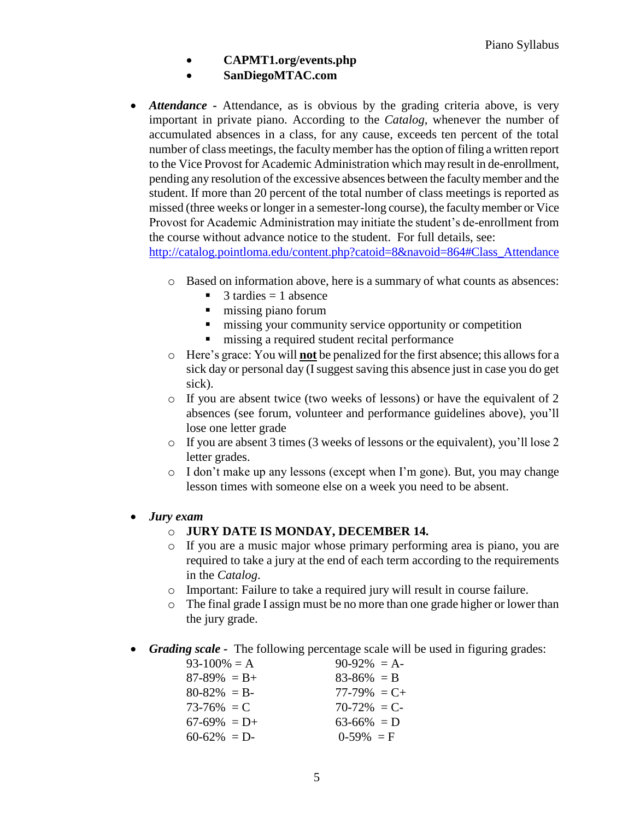- **CAPMT1.org/events.php**
- **SanDiegoMTAC.com**
- *Attendance* **-** Attendance, as is obvious by the grading criteria above, is very important in private piano. According to the *Catalog*, whenever the number of accumulated absences in a class, for any cause, exceeds ten percent of the total number of class meetings, the faculty member has the option of filing a written report to the Vice Provost for Academic Administration which may result in de-enrollment, pending any resolution of the excessive absences between the faculty member and the student. If more than 20 percent of the total number of class meetings is reported as missed (three weeks or longer in a semester-long course), the faculty member or Vice Provost for Academic Administration may initiate the student's de-enrollment from the course without advance notice to the student. For full details, see:

[http://catalog.pointloma.edu/content.php?catoid=8&navoid=864#Class\\_Attendance](http://catalog.pointloma.edu/content.php?catoid=8&navoid=864%23Class_Attendance)

- o Based on information above, here is a summary of what counts as absences:
	- $3$  tardies  $= 1$  absence
	- $\blacksquare$  missing piano forum
	- $\blacksquare$  missing your community service opportunity or competition
	- $\blacksquare$  missing a required student recital performance
- o Here's grace: You will **not** be penalized for the first absence; this allows for a sick day or personal day (I suggest saving this absence just in case you do get sick).
- o If you are absent twice (two weeks of lessons) or have the equivalent of 2 absences (see forum, volunteer and performance guidelines above), you'll lose one letter grade
- o If you are absent 3 times (3 weeks of lessons or the equivalent), you'll lose 2 letter grades.
- o I don't make up any lessons (except when I'm gone). But, you may change lesson times with someone else on a week you need to be absent.

## *Jury exam*

- o **JURY DATE IS MONDAY, DECEMBER 14.**
- o If you are a music major whose primary performing area is piano, you are required to take a jury at the end of each term according to the requirements in the *Catalog*.
- o Important: Failure to take a required jury will result in course failure.
- $\circ$  The final grade I assign must be no more than one grade higher or lower than the jury grade.
- *Grading scale* The following percentage scale will be used in figuring grades:

| $93-100\% = A$    | $90-92\% = A$   |
|-------------------|-----------------|
| $87 - 89\% = B +$ | $83 - 86\% = B$ |
| $80 - 82\% = B$   | $77-79\% = C +$ |
| $73 - 76\% = C$   | $70-72\% = C$   |
| $67-69\% = D+$    | $63-66\% = D$   |
| $60-62\% = D$     | $0-59\% = F$    |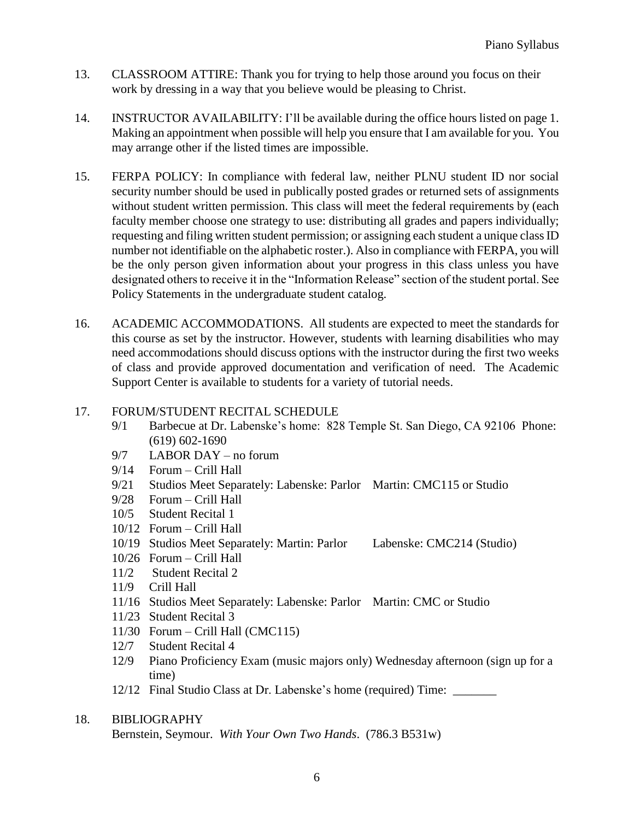- 13. CLASSROOM ATTIRE: Thank you for trying to help those around you focus on their work by dressing in a way that you believe would be pleasing to Christ.
- 14. INSTRUCTOR AVAILABILITY: I'll be available during the office hours listed on page 1. Making an appointment when possible will help you ensure that I am available for you. You may arrange other if the listed times are impossible.
- 15. FERPA POLICY: In compliance with federal law, neither PLNU student ID nor social security number should be used in publically posted grades or returned sets of assignments without student written permission. This class will meet the federal requirements by (each faculty member choose one strategy to use: distributing all grades and papers individually; requesting and filing written student permission; or assigning each student a unique class ID number not identifiable on the alphabetic roster.). Also in compliance with FERPA, you will be the only person given information about your progress in this class unless you have designated others to receive it in the "Information Release" section of the student portal. See Policy Statements in the undergraduate student catalog.
- 16. ACADEMIC ACCOMMODATIONS. All students are expected to meet the standards for this course as set by the instructor. However, students with learning disabilities who may need accommodations should discuss options with the instructor during the first two weeks of class and provide approved documentation and verification of need. The Academic Support Center is available to students for a variety of tutorial needs.

## 17. FORUM/STUDENT RECITAL SCHEDULE

- 9/1 Barbecue at Dr. Labenske's home: 828 Temple St. San Diego, CA 92106 Phone: (619) 602-1690
- 9/7 LABOR DAY no forum
- 9/14 Forum Crill Hall
- 9/21 Studios Meet Separately: Labenske: Parlor Martin: CMC115 or Studio
- 9/28 Forum Crill Hall
- 10/5 Student Recital 1
- 10/12 Forum Crill Hall
- 10/19 Studios Meet Separately: Martin: Parlor Labenske: CMC214 (Studio)
- 10/26 Forum Crill Hall
- 11/2 Student Recital 2
- 11/9 Crill Hall
- 11/16 Studios Meet Separately: Labenske: Parlor Martin: CMC or Studio
- 11/23 Student Recital 3
- 11/30 Forum Crill Hall (CMC115)
- 12/7 Student Recital 4
- 12/9 Piano Proficiency Exam (music majors only) Wednesday afternoon (sign up for a time)
- 12/12 Final Studio Class at Dr. Labenske's home (required) Time: \_\_\_\_\_\_\_

## 18. BIBLIOGRAPHY

Bernstein, Seymour. *With Your Own Two Hands*. (786.3 B531w)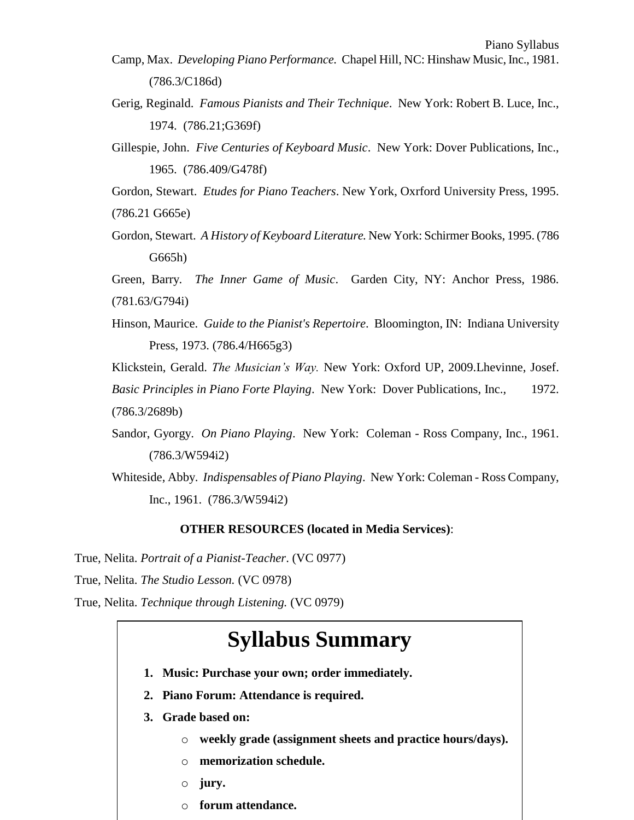- Camp, Max. *Developing Piano Performance.* Chapel Hill, NC: Hinshaw Music, Inc., 1981. (786.3/C186d)
- Gerig, Reginald. *Famous Pianists and Their Technique*. New York: Robert B. Luce, Inc., 1974. (786.21;G369f)
- Gillespie, John. *Five Centuries of Keyboard Music*. New York: Dover Publications, Inc., 1965. (786.409/G478f)

Gordon, Stewart. *Etudes for Piano Teachers*. New York, Oxrford University Press, 1995. (786.21 G665e)

Gordon, Stewart. *A History of Keyboard Literature.* New York: Schirmer Books, 1995. (786 G665h)

Green, Barry. *The Inner Game of Music*. Garden City, NY: Anchor Press, 1986. (781.63/G794i)

Hinson, Maurice. *Guide to the Pianist's Repertoire*. Bloomington, IN: Indiana University Press, 1973. (786.4/H665g3)

Klickstein, Gerald. *The Musician's Way.* New York: Oxford UP, 2009.Lhevinne, Josef. *Basic Principles in Piano Forte Playing*. New York: Dover Publications, Inc., 1972. (786.3/2689b)

- Sandor, Gyorgy. *On Piano Playing*. New York: Coleman Ross Company, Inc., 1961. (786.3/W594i2)
- Whiteside, Abby. *Indispensables of Piano Playing*. New York: Coleman Ross Company, Inc., 1961. (786.3/W594i2)

#### **OTHER RESOURCES (located in Media Services)**:

True, Nelita. *Portrait of a Pianist-Teacher*. (VC 0977)

True, Nelita. *The Studio Lesson.* (VC 0978)

True, Nelita. *Technique through Listening.* (VC 0979)

# **Syllabus Summary**

- **1. Music: Purchase your own; order immediately.**
- **2. Piano Forum: Attendance is required.**
- **3. Grade based on:**
	- o **weekly grade (assignment sheets and practice hours/days).**
	- o **memorization schedule.**
	- o **jury.**
	- o **forum attendance.**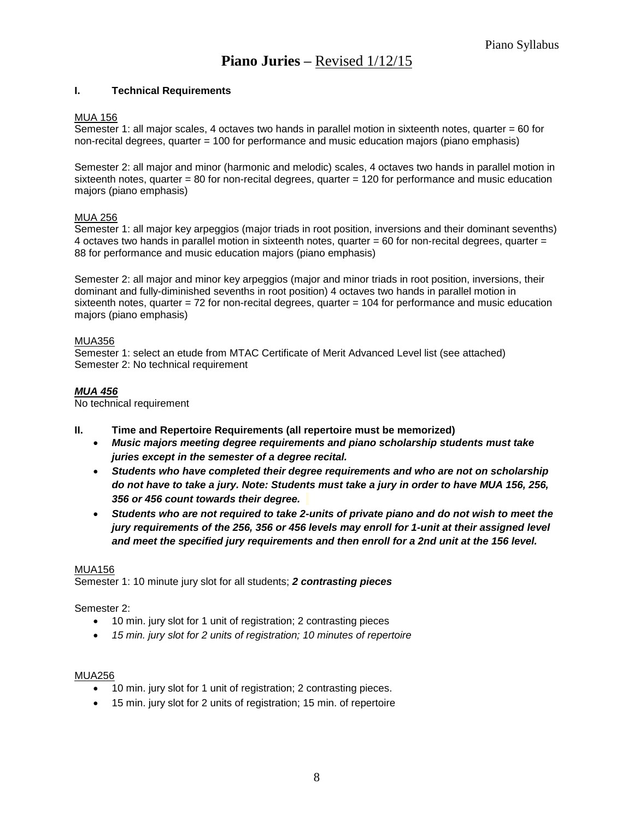## **Piano Juries –** Revised 1/12/15

#### **I. Technical Requirements**

#### MUA 156

Semester 1: all major scales, 4 octaves two hands in parallel motion in sixteenth notes, quarter = 60 for non-recital degrees, quarter = 100 for performance and music education majors (piano emphasis)

Semester 2: all major and minor (harmonic and melodic) scales, 4 octaves two hands in parallel motion in sixteenth notes, quarter = 80 for non-recital degrees, quarter = 120 for performance and music education majors (piano emphasis)

#### MUA 256

Semester 1: all major key arpeggios (major triads in root position, inversions and their dominant sevenths) 4 octaves two hands in parallel motion in sixteenth notes, quarter  $= 60$  for non-recital degrees, quarter  $=$ 88 for performance and music education majors (piano emphasis)

Semester 2: all major and minor key arpeggios (major and minor triads in root position, inversions, their dominant and fully-diminished sevenths in root position) 4 octaves two hands in parallel motion in sixteenth notes, quarter = 72 for non-recital degrees, quarter = 104 for performance and music education majors (piano emphasis)

#### MUA356

Semester 1: select an etude from MTAC Certificate of Merit Advanced Level list (see attached) Semester 2: No technical requirement

#### *MUA 456*

No technical requirement

- **II. Time and Repertoire Requirements (all repertoire must be memorized)**
	- *Music majors meeting degree requirements and piano scholarship students must take juries except in the semester of a degree recital.*
	- *Students who have completed their degree requirements and who are not on scholarship do not have to take a jury. Note: Students must take a jury in order to have MUA 156, 256, 356 or 456 count towards their degree.*
	- *Students who are not required to take 2-units of private piano and do not wish to meet the jury requirements of the 256, 356 or 456 levels may enroll for 1-unit at their assigned level and meet the specified jury requirements and then enroll for a 2nd unit at the 156 level.*

#### MUA156

Semester 1: 10 minute jury slot for all students; *2 contrasting pieces*

#### Semester 2:

- 10 min. jury slot for 1 unit of registration; 2 contrasting pieces
- *15 min. jury slot for 2 units of registration; 10 minutes of repertoire*

#### MUA256

- 10 min. jury slot for 1 unit of registration; 2 contrasting pieces.
- 15 min. jury slot for 2 units of registration; 15 min. of repertoire